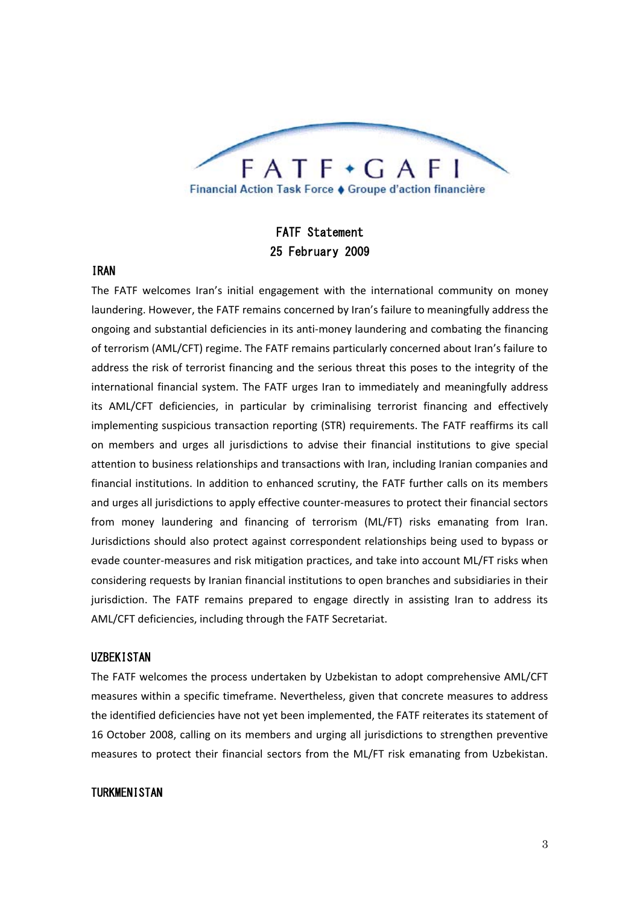

# FATF Statement 25 February 2009

## IRAN

The FATF welcomes Iran's initial engagement with the international community on money laundering. However, the FATF remains concerned by Iran's failure to meaningfully address the ongoing and substantial deficiencies in its anti‐money laundering and combating the financing of terrorism (AML/CFT) regime. The FATF remains particularly concerned about Iran's failure to address the risk of terrorist financing and the serious threat this poses to the integrity of the international financial system. The FATF urges Iran to immediately and meaningfully address its AML/CFT deficiencies, in particular by criminalising terrorist financing and effectively implementing suspicious transaction reporting (STR) requirements. The FATF reaffirms its call on members and urges all jurisdictions to advise their financial institutions to give special attention to business relationships and transactions with Iran, including Iranian companies and financial institutions. In addition to enhanced scrutiny, the FATF further calls on its members and urges all jurisdictions to apply effective counter‐measures to protect their financial sectors from money laundering and financing of terrorism (ML/FT) risks emanating from Iran. Jurisdictions should also protect against correspondent relationships being used to bypass or evade counter‐measures and risk mitigation practices, and take into account ML/FT risks when considering requests by Iranian financial institutions to open branches and subsidiaries in their jurisdiction. The FATF remains prepared to engage directly in assisting Iran to address its AML/CFT deficiencies, including through the FATF Secretariat.

## **UZBEKISTAN**

The FATF welcomes the process undertaken by Uzbekistan to adopt comprehensive AML/CFT measures within a specific timeframe. Nevertheless, given that concrete measures to address the identified deficiencies have not yet been implemented, the FATF reiterates its statement of 16 October 2008, calling on its members and urging all jurisdictions to strengthen preventive measures to protect their financial sectors from the ML/FT risk emanating from Uzbekistan.

#### TURKMENISTAN